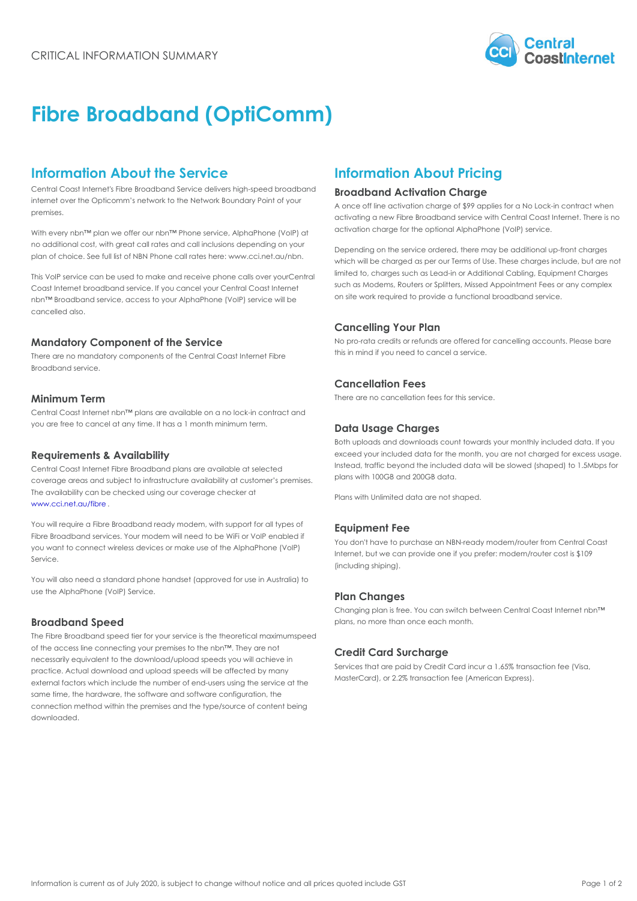# Fibre Broadband (OptiComm)

### Information About the Service Information About Pricing

Central Coast Internet's Fibre Broadband Service delivers **B**ipba are the a Abethy ation Charge internet over the Opticomm s network to the Network Boundary Point of your<br>A once off line activation charge of \$99 applies for a No L premises.

activating a new Fibre Broadband service with Central Coast Internet

With every nbn!" plan we offer our nbn!" Phone service, Alpr?ebilt?ahe ?\v+}phyggtfor the optional AlphaPhone (VoIP) serv no additional cost, with great call rates and call inclusions depending on your<br>Depending on the service ordered, there may be additiona plan of choice. See full list of NBN Phone call rates here: www.cci.net.au/nbn.<br>which will be charged as per our Terms of Use. These cha

This VoIP service can be used to make and receiv@ephipanle  $\stackrel{1}{b}$ anisedvtop, younges such as Lead-in or Additional Cabling, Coast Internet broadband service. If you cancel your Central C  $c_{\rm s}$  [M<sub>i</sub>qqe [R<sub>igt</sub> Routers or Splitters, Missed Appointmen nbn!" Broadband service, access to your AlphaPhone (VoIP)<sup>o g</sup>eî<sup>ti</sup>fea<sup>w C</sup>iii reguired to provide a functional broadband se cancelled also.

Mandatory Component of the Service There are no mandatory components of the Central Coast  $\frac{1}{h}h^2$   $\frac{1}{h}$   $\frac{1}{h}$   $\frac{1}{h}$   $\frac{1}{h}$   $\frac{1}{h}$   $\frac{1}{h}$   $\frac{1}{h}$   $\frac{1}{h}$   $\frac{1}{h}$   $\frac{1}{h}$   $\frac{1}{h}$   $\frac{1}{h}$   $\frac{1}{h}$   $\frac{1}{h}$   $\frac{1}{h}$   $\frac$ Broadband service.

Cancelling Your Plan

No pro-rata credits or refunds are offered for cancelling a

#### Cancellation Fees

There are no cancellation fees for this service.

#### Minimum Term

#### Central Coast Internet nbn!" plans are available on a no lock-in contract and

you are free to cancel at any time. It has a 1 month minim  $\mathbb{m}$ ateam  $\mathsf{U}$  sage Charges

Both uploads and downloads count towards your monthly in

#### Requirements & Availability

Central Coast Internet Fibre Broadband plans are available  ${}^{n}$ st s& efected is beyond the included data will be slowed (s exceed your included data for the month, you are not char

coverage areas and subject to infrastructure availability aplane  $\frac{1}{2}$  and  $\frac{1}{2}$  and  $\frac{1}{2}$  and  $\frac{1}{2}$  and  $\frac{1}{2}$  and  $\frac{1}{2}$  and  $\frac{1}{2}$  and  $\frac{1}{2}$  and  $\frac{1}{2}$  and  $\frac{1}{2}$  and  $\frac{1}{2}$  and  $\$ The availability can be checked using our coverage checker at Plans with Unlimited data are not shaped.

[www.cci.net.au](https://www.cci.net.au/fibre)/fibre

You will require a Fibre Broadband ready modem, with support for all types of Equipment Fee Fibre Broadband services. Your modem will need to be WiFi or VoIP enabled if you want to connect wireless devices or make use of the AlphaPhone (VoIP) Service. You don't have to purchase an NBN-ready modem/router fr Internet, but we can provide one if you prefer: modem/rout (including shiping).

You will also need a standard phone handset (approved for use in Australia) to use the AlphaPhone (VoIP) Service.

#### Plan Changes

Changing plan is free. You can switch between Central Co plans, no more than once each month.

#### Broadband Speed

The Fibre Broadband speed tier for your service is sthe eetheoretical maximum

of the access line connecting your premises to the nbn!". They and not of the access the connecting your premises to the none. They end it Card Surcharge<br>necessarily equivalent to the download/upload speeds you will achieve in

practice. Actual download and upload speeds will be affected by many<br>practice. Actual download and upload speeds will be affected by many .<br>external factors which include the number of end-users using the service at the transaction fee (American Express). same time, the hardware, the software and software configuration, the

connection method within the premises and the type/source of content being downloaded.